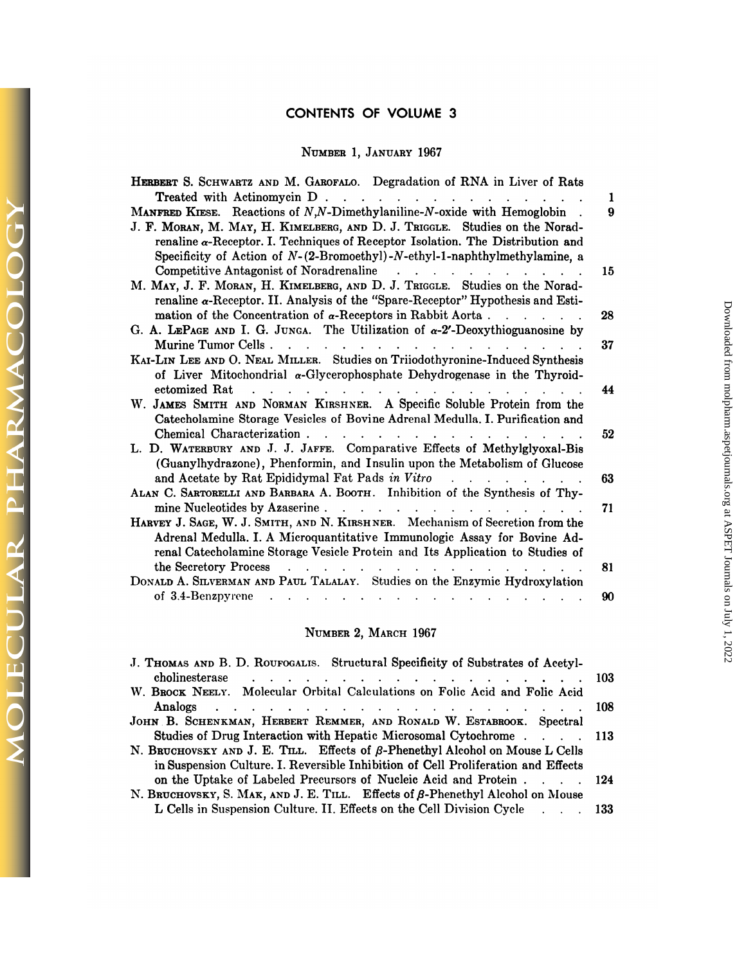# **CONTENTS OF VOLUME 3**

# **NUMBER I, .JANUARY** 1967

| NUMBER 1, JANUARY 1967                                                                                                                                                                                                                                                                                                                         |          |
|------------------------------------------------------------------------------------------------------------------------------------------------------------------------------------------------------------------------------------------------------------------------------------------------------------------------------------------------|----------|
| HERBERT S. SCHWARTZ AND M. GAROFALO. Degradation of RNA in Liver of Rats                                                                                                                                                                                                                                                                       |          |
| Treated with Actinomycin D.                                                                                                                                                                                                                                                                                                                    | 1        |
| MANFRED KIESE. Reactions of N,N-Dimethylaniline-N-oxide with Hemoglobin.<br>J. F. MORAN, M. MAY, H. KIMELBERG, AND D. J. TRIGGLE. Studies on the Norad-<br>renaline $\alpha$ -Receptor. I. Techniques of Receptor Isolation. The Distribution and<br>Specificity of Action of $N-(2-{\rm Bromoethyl})-N-{\rm ethyl}-1$ -naphthylmethylamine, a | 9        |
| M. MAY, J. F. MORAN, H. KIMELBERG, AND D. J. TRIGGLE. Studies on the Norad-<br>renaline $\alpha$ -Receptor. II. Analysis of the "Spare-Receptor" Hypothesis and Esti-                                                                                                                                                                          | 15       |
| mation of the Concentration of $\alpha$ -Receptors in Rabbit Aorta<br>G. A. LEPAGE AND I. G. JUNGA. The Utilization of $\alpha$ -2'-Deoxythioguanosine by                                                                                                                                                                                      | 28       |
| Murine Tumor Cells<br>KAI-LIN LEE AND O. NEAL MILLER. Studies on Triiodothyronine-Induced Synthesis<br>of Liver Mitochondrial $\alpha$ -Glycerophosphate Dehydrogenase in the Thyroid-                                                                                                                                                         | 37       |
| ectomized Rat<br>W. JAMES SMITH AND NORMAN KIRSHNER. A Specific Soluble Protein from the<br>Catecholamine Storage Vesicles of Bovine Adrenal Medulla. I. Purification and                                                                                                                                                                      | 44       |
| Chemical Characterization<br>L. D. WATERBURY AND J. J. JAFFE. Comparative Effects of Methylglyoxal-Bis<br>(Guanylhydrazone), Phenformin, and Insulin upon the Metabolism of Glucose                                                                                                                                                            | 52       |
| ALAN C. SARTORELLI AND BARBARA A. BOOTH. Inhibition of the Synthesis of Thy-                                                                                                                                                                                                                                                                   | 63       |
| mine Nucleotides by Azaserine                                                                                                                                                                                                                                                                                                                  | 71       |
| HARVEY J. SAGE, W. J. SMITH, AND N. KIRSHNER. Mechanism of Secretion from the<br>Adrenal Medulla. I. A Microquantitative Immunologic Assay for Bovine Ad-<br>renal Catecholamine Storage Vesicle Protein and Its Application to Studies of                                                                                                     |          |
| the Secretory Process<br>$\mathbf{r}$ , $\mathbf{r}$ , $\mathbf{r}$ , $\mathbf{r}$ , $\mathbf{r}$ , $\mathbf{r}$ , $\mathbf{r}$ , $\mathbf{r}$ , $\mathbf{r}$ , $\mathbf{r}$<br>DONALD A. SILVERMAN AND PAUL TALALAY. Studies on the Enzymic Hydroxylation<br>of 3.4-Benzpyrene                                                                | 81<br>90 |

# NUMBER 2, MARCH 1967

| NUMBER 2, MARCH 1967                                                                                                                                                      |            |
|---------------------------------------------------------------------------------------------------------------------------------------------------------------------------|------------|
| J. THOMAS AND B. D. ROUFOGALIS. Structural Specificity of Substrates of Acetyl-                                                                                           | -103       |
| W. BROCK NEELY. Molecular Orbital Calculations on Folic Acid and Folic Acid                                                                                               | <b>108</b> |
| JOHN B. SCHENKMAN, HERBERT REMMER, AND RONALD W. ESTABROOK. Spectral<br>Studies of Drug Interaction with Hepatic Microsomal Cytochrome 113                                |            |
| N. BRUCHOVSKY AND J. E. TILL. Effects of $\beta$ -Phenethyl Alcohol on Mouse L Cells<br>in Suspension Culture. I. Reversible Inhibition of Cell Proliferation and Effects |            |
| on the Uptake of Labeled Precursors of Nucleic Acid and Protein 124<br>N. BRUCHOVSKY, S. MAK, AND J. E. TILL. Effects of $\beta$ -Phenethyl Alcohol on Mouse              |            |
| L Cells in Suspension Culture. II. Effects on the Cell Division Cycle 133                                                                                                 |            |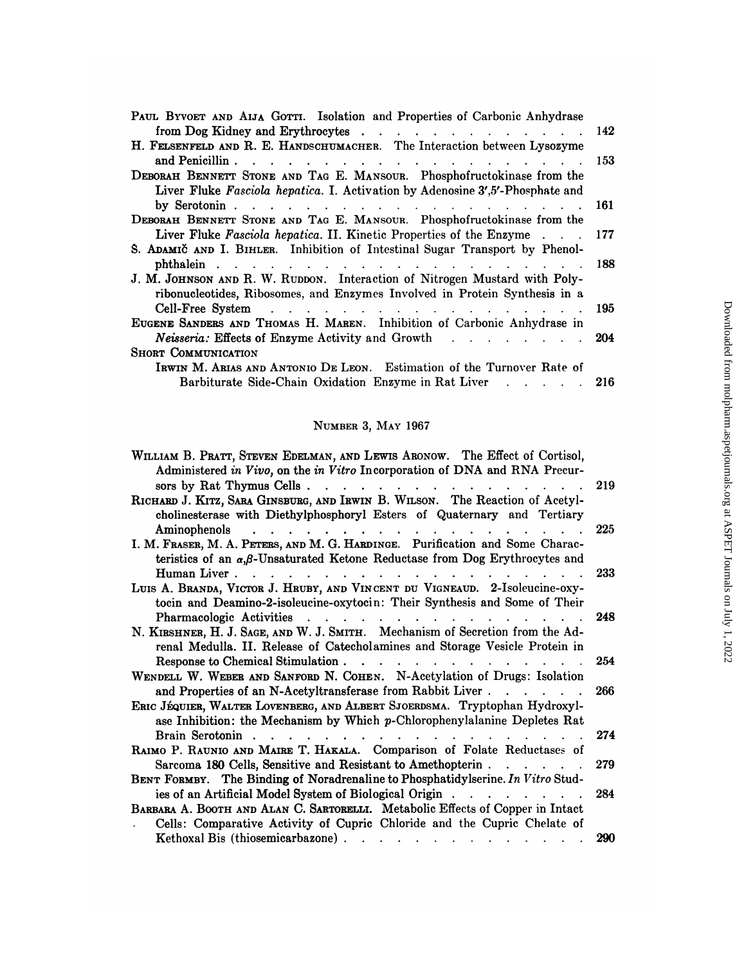| from Dog Kidney and Erythrocytes<br>142<br>and Penicillin<br>153<br>the contract of the contract of the contract of the contract of the contract of<br>Liver Fluke Fasciola hepatica. I. Activation by Adenosine 3',5'-Phosphate and<br>by Serotonin $\cdots$ $\cdots$ $\cdots$ $\cdots$ $\cdots$ $\cdots$<br>161<br>Liver Fluke Fasciola hepatica. II. Kinetic Properties of the Enzyme<br>177<br>188<br>ribonucleotides, Ribosomes, and Enzymes Involved in Protein Synthesis in a<br>Cell-Free System<br>and the company of the company of the company of the company of the company of the company of the company of the company of the company of the company of the company of the company of the company of the company of the comp<br>195<br>EUGENE SANDERS AND THOMAS H. MAREN. Inhibition of Carbonic Anhydrase in<br>Neisseria: Effects of Enzyme Activity and Growth<br>204<br>$\mathcal{L}(\mathbf{r},\mathbf{r})$ . The contribution of the contribution of the contribution of the contribution of the contribution of the contribution of the contribution of the contribution of the contribution of the contribution o<br>IRWIN M. ARIAS AND ANTONIO DE LEON. Estimation of the Turnover Rate of<br><b>Barbiturate Side-Chain Oxidation Enzyme in Rat Liver</b><br>-216 |                                                                              |  |
|-------------------------------------------------------------------------------------------------------------------------------------------------------------------------------------------------------------------------------------------------------------------------------------------------------------------------------------------------------------------------------------------------------------------------------------------------------------------------------------------------------------------------------------------------------------------------------------------------------------------------------------------------------------------------------------------------------------------------------------------------------------------------------------------------------------------------------------------------------------------------------------------------------------------------------------------------------------------------------------------------------------------------------------------------------------------------------------------------------------------------------------------------------------------------------------------------------------------------------------------------------------------------------------------|------------------------------------------------------------------------------|--|
|                                                                                                                                                                                                                                                                                                                                                                                                                                                                                                                                                                                                                                                                                                                                                                                                                                                                                                                                                                                                                                                                                                                                                                                                                                                                                           |                                                                              |  |
|                                                                                                                                                                                                                                                                                                                                                                                                                                                                                                                                                                                                                                                                                                                                                                                                                                                                                                                                                                                                                                                                                                                                                                                                                                                                                           |                                                                              |  |
|                                                                                                                                                                                                                                                                                                                                                                                                                                                                                                                                                                                                                                                                                                                                                                                                                                                                                                                                                                                                                                                                                                                                                                                                                                                                                           | PAUL BYVOET AND AIJA GOTTI. Isolation and Properties of Carbonic Anhydrase   |  |
|                                                                                                                                                                                                                                                                                                                                                                                                                                                                                                                                                                                                                                                                                                                                                                                                                                                                                                                                                                                                                                                                                                                                                                                                                                                                                           |                                                                              |  |
|                                                                                                                                                                                                                                                                                                                                                                                                                                                                                                                                                                                                                                                                                                                                                                                                                                                                                                                                                                                                                                                                                                                                                                                                                                                                                           | H. FELSENFELD AND R. E. HANDSCHUMACHER. The Interaction between Lysozyme     |  |
|                                                                                                                                                                                                                                                                                                                                                                                                                                                                                                                                                                                                                                                                                                                                                                                                                                                                                                                                                                                                                                                                                                                                                                                                                                                                                           |                                                                              |  |
|                                                                                                                                                                                                                                                                                                                                                                                                                                                                                                                                                                                                                                                                                                                                                                                                                                                                                                                                                                                                                                                                                                                                                                                                                                                                                           | DEBORAH BENNETT STONE AND TAG E. MANSOUR. Phosphofructokinase from the       |  |
|                                                                                                                                                                                                                                                                                                                                                                                                                                                                                                                                                                                                                                                                                                                                                                                                                                                                                                                                                                                                                                                                                                                                                                                                                                                                                           |                                                                              |  |
|                                                                                                                                                                                                                                                                                                                                                                                                                                                                                                                                                                                                                                                                                                                                                                                                                                                                                                                                                                                                                                                                                                                                                                                                                                                                                           |                                                                              |  |
|                                                                                                                                                                                                                                                                                                                                                                                                                                                                                                                                                                                                                                                                                                                                                                                                                                                                                                                                                                                                                                                                                                                                                                                                                                                                                           | DEBORAH BENNETT STONE AND TAG E. MANSOUR. Phosphofructokinase from the       |  |
|                                                                                                                                                                                                                                                                                                                                                                                                                                                                                                                                                                                                                                                                                                                                                                                                                                                                                                                                                                                                                                                                                                                                                                                                                                                                                           |                                                                              |  |
|                                                                                                                                                                                                                                                                                                                                                                                                                                                                                                                                                                                                                                                                                                                                                                                                                                                                                                                                                                                                                                                                                                                                                                                                                                                                                           | S. ADAMIC AND I. BIHLER. Inhibition of Intestinal Sugar Transport by Phenol- |  |
|                                                                                                                                                                                                                                                                                                                                                                                                                                                                                                                                                                                                                                                                                                                                                                                                                                                                                                                                                                                                                                                                                                                                                                                                                                                                                           |                                                                              |  |
|                                                                                                                                                                                                                                                                                                                                                                                                                                                                                                                                                                                                                                                                                                                                                                                                                                                                                                                                                                                                                                                                                                                                                                                                                                                                                           | J. M. JOHNSON AND R. W. RUDDON. Interaction of Nitrogen Mustard with Poly-   |  |
|                                                                                                                                                                                                                                                                                                                                                                                                                                                                                                                                                                                                                                                                                                                                                                                                                                                                                                                                                                                                                                                                                                                                                                                                                                                                                           |                                                                              |  |
|                                                                                                                                                                                                                                                                                                                                                                                                                                                                                                                                                                                                                                                                                                                                                                                                                                                                                                                                                                                                                                                                                                                                                                                                                                                                                           |                                                                              |  |
|                                                                                                                                                                                                                                                                                                                                                                                                                                                                                                                                                                                                                                                                                                                                                                                                                                                                                                                                                                                                                                                                                                                                                                                                                                                                                           |                                                                              |  |
|                                                                                                                                                                                                                                                                                                                                                                                                                                                                                                                                                                                                                                                                                                                                                                                                                                                                                                                                                                                                                                                                                                                                                                                                                                                                                           |                                                                              |  |
|                                                                                                                                                                                                                                                                                                                                                                                                                                                                                                                                                                                                                                                                                                                                                                                                                                                                                                                                                                                                                                                                                                                                                                                                                                                                                           | <b>SHORT COMMUNICATION</b>                                                   |  |
|                                                                                                                                                                                                                                                                                                                                                                                                                                                                                                                                                                                                                                                                                                                                                                                                                                                                                                                                                                                                                                                                                                                                                                                                                                                                                           |                                                                              |  |
|                                                                                                                                                                                                                                                                                                                                                                                                                                                                                                                                                                                                                                                                                                                                                                                                                                                                                                                                                                                                                                                                                                                                                                                                                                                                                           |                                                                              |  |
|                                                                                                                                                                                                                                                                                                                                                                                                                                                                                                                                                                                                                                                                                                                                                                                                                                                                                                                                                                                                                                                                                                                                                                                                                                                                                           |                                                                              |  |

# NUMBER 3, MAY 1967

| NUMBER 3, MAY 1967                                                                                                                                                                                                                                                             |     |
|--------------------------------------------------------------------------------------------------------------------------------------------------------------------------------------------------------------------------------------------------------------------------------|-----|
| WILLIAM B. PRATT, STEVEN EDELMAN, AND LEWIS ARONOW. The Effect of Cortisol,<br>Administered in Vivo, on the in Vitro Incorporation of DNA and RNA Precur-<br>sors by Rat Thymus Cells                                                                                          | 219 |
| RICHARD J. KITZ, SARA GINSBURG, AND IRWIN B. WILSON. The Reaction of Acetyl-<br>cholinesterase with Diethylphosphoryl Esters of Quaternary and Tertiary<br>Aminophenols                                                                                                        | 225 |
| I. M. FRASER, M. A. PETERS, AND M. G. HARDINGE. Purification and Some Charac-<br>teristics of an $\alpha,\beta$ -Unsaturated Ketone Reductase from Dog Erythrocytes and                                                                                                        |     |
| Human Liver.<br>LUIS A. BRANDA, VICTOR J. HRUBY, AND VINCENT DU VIGNEAUD. 2-Isoleucine-oxy-<br>tocin and Deamino-2-isoleucine-oxytocin: Their Synthesis and Some of Their                                                                                                      | 233 |
| Pharmacologic Activities<br>. The second contract is a second contract of the second contract of $\mathcal{A}$<br>N. KIRSHNER, H. J. SAGE, AND W. J. SMITH. Mechanism of Secretion from the Ad-<br>renal Medulla. II. Release of Catecholamines and Storage Vesicle Protein in | 248 |
| Response to Chemical Stimulation<br>$\mathbf{r}$ , $\mathbf{r}$ , $\mathbf{r}$ , $\mathbf{r}$ , $\mathbf{r}$ , $\mathbf{r}$ , $\mathbf{r}$<br>WENDELL W. WEBER AND SANFORD N. COHEN. N-Acetylation of Drugs: Isolation                                                         | 254 |
| and Properties of an N-Acetyltransferase from Rabbit Liver<br>ERIC JÉQUIER, WALTER LOVENBERG, AND ALBERT SJOERDSMA. Tryptophan Hydroxyl-<br>ase Inhibition: the Mechanism by Which p-Chlorophenylalanine Depletes Rat                                                          | 266 |
| Brain Serotonin<br>$\mathbf{r}$ and $\mathbf{r}$ and $\mathbf{r}$ and $\mathbf{r}$<br>RAIMO P. RAUNIO AND MAIRE T. HAKALA. Comparison of Folate Reductases of                                                                                                                  | 274 |
| Sarcoma 180 Cells, Sensitive and Resistant to Amethopterin.<br>$\sim$ $\sim$ $\sim$ $\sim$ $\sim$<br>BENT FORMBY. The Binding of Noradrenaline to Phosphatidylserine. In Vitro Stud-                                                                                           | 279 |
| ies of an Artificial Model System of Biological Origin<br>BARBARA A. BOOTH AND ALAN C. SARTORELLI. Metabolic Effects of Copper in Intact<br>Cells: Comparative Activity of Cupric Chloride and the Cupric Chelate of                                                           | 284 |
| Kethoxal Bis (thiosemicarbazone).<br>and the contract of the contract of the contract of the contract of the contract of the contract of the contract of the contract of the contract of the contract of the contract of the contract of the contract of the contra            | 290 |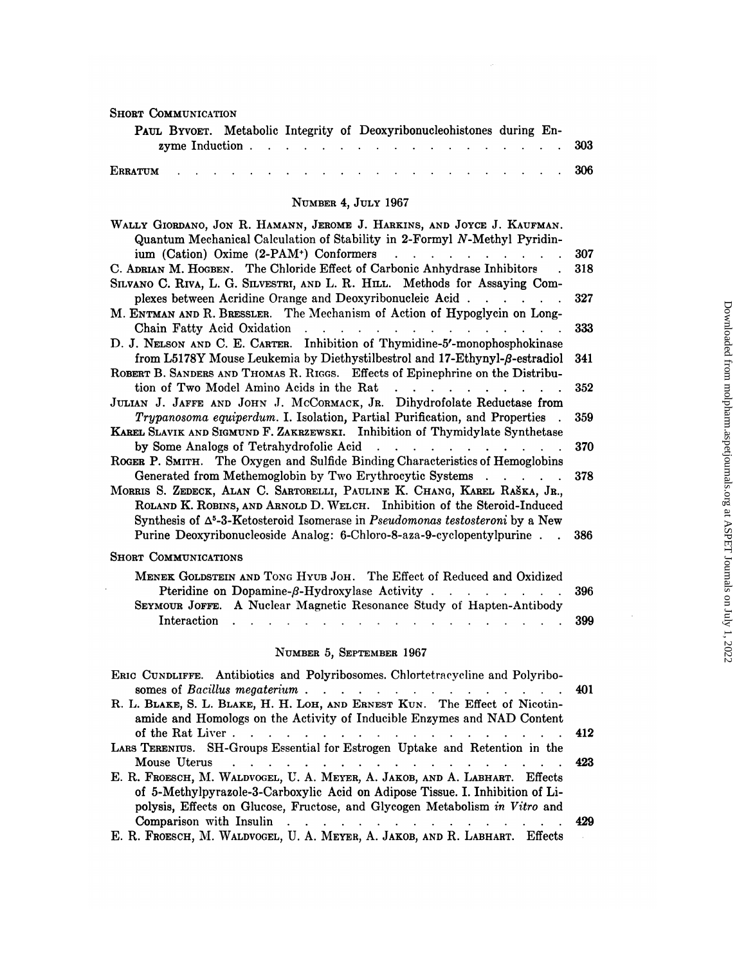| <b>SHORT COMMUNICATION</b>                                                                                                                                                                                                  |     |
|-----------------------------------------------------------------------------------------------------------------------------------------------------------------------------------------------------------------------------|-----|
| PAUL BYVOET. Metabolic Integrity of Deoxyribonucleohistones during En-<br>zyme Induction.<br>$\frac{1}{2}$ . The state of the state $\frac{1}{2}$ is the state of the state of the state $\frac{1}{2}$<br><b>Contractor</b> | 303 |
| <b>ERRATUM</b>                                                                                                                                                                                                              | 306 |
| NUMBER 4, JULY 1967                                                                                                                                                                                                         |     |
|                                                                                                                                                                                                                             |     |
| WALLY GIORDANO, JON R. HAMANN, JEROME J. HARKINS, AND JOYCE J. KAUFMAN.<br>Quantum Mechanical Calculation of Stability in 2-Formyl N-Methyl Pyridin-                                                                        |     |
| ium (Cation) Oxime (2-PAM <sup>+</sup> ) Conformers<br>the contract of the contract of the con-                                                                                                                             | 307 |
| C. ADRIAN M. HOGBEN. The Chloride Effect of Carbonic Anhydrase Inhibitors                                                                                                                                                   | 318 |
| SILVANO C. RIVA, L. G. SILVESTRI, AND L. R. HILL. Methods for Assaying Com-                                                                                                                                                 |     |
| plexes between Acridine Orange and Deoxyribonucleic Acid.<br>$\mathbf{r}$ , $\mathbf{r}$ , $\mathbf{r}$ , $\mathbf{r}$                                                                                                      | 327 |
| M. ENTMAN AND R. BRESSLER. The Mechanism of Action of Hypoglycin on Long-                                                                                                                                                   |     |
| Chain Fatty Acid Oxidation                                                                                                                                                                                                  | 333 |
| D. J. NELSON AND C. E. CARTER. Inhibition of Thymidine-5'-monophosphokinase                                                                                                                                                 |     |
| from L5178Y Mouse Leukemia by Diethystilbestrol and 17-Ethynyl- $\beta$ -estradiol                                                                                                                                          | 341 |
| ROBERT B. SANDERS AND THOMAS R. RIGGS. Effects of Epinephrine on the Distribu-<br>tion of Two Model Amino Acids in the Rat<br>$\mathbf{r}$ and $\mathbf{r}$ and $\mathbf{r}$ and $\mathbf{r}$                               | 352 |
| JULIAN J. JAFFE AND JOHN J. MCCORMACK, JR. Dihydrofolate Reductase from                                                                                                                                                     |     |
| Trypanosoma equiperdum. I. Isolation, Partial Purification, and Properties.                                                                                                                                                 | 359 |
| KAREL SLAVIK AND SIGMUND F. ZAKRZEWSKI. Inhibition of Thymidylate Synthetase                                                                                                                                                |     |
| by Some Analogs of Tetrahydrofolic Acid<br>$\mathbf{r}$ , $\mathbf{r}$ , $\mathbf{r}$ , $\mathbf{r}$ , $\mathbf{r}$ , $\mathbf{r}$                                                                                          | 370 |
| ROGER P. SMITH. The Oxygen and Sulfide Binding Characteristics of Hemoglobins                                                                                                                                               |     |
| Generated from Methemoglobin by Two Erythrocytic Systems                                                                                                                                                                    | 378 |
| MORRIS S. ZEDECK, ALAN C. SARTORELLI, PAULINE K. CHANG, KAREL RAŠKA, JR.,                                                                                                                                                   |     |
| ROLAND K. ROBINS, AND ARNOLD D. WELCH. Inhibition of the Steroid-Induced                                                                                                                                                    |     |
| Synthesis of $\Delta^5$ -3-Ketosteroid Isomerase in <i>Pseudomonas testosteroni</i> by a New                                                                                                                                |     |
| Purine Deoxyribonucleoside Analog: 6-Chloro-8-aza-9-cyclopentylpurine                                                                                                                                                       | 386 |
| <b>SHORT COMMUNICATIONS</b>                                                                                                                                                                                                 |     |
| MENEK GOLDSTEIN AND TONG HYUB JOH. The Effect of Reduced and Oxidized                                                                                                                                                       |     |
| Pteridine on Dopamine-B-Hydroxylase Activity.<br>$\mathcal{O}(\mathcal{A})$ . The set of $\mathcal{O}(\mathcal{A})$                                                                                                         | 396 |

### SHORT COMMUNICATIONS

 $\ddot{\phantom{0}}$ 

| ORT COMMUNICATIONS                                                                                                        |  |
|---------------------------------------------------------------------------------------------------------------------------|--|
| MENER GOLDSTEIN AND TONG HYUB JOH. The Effect of Reduced and Oxidized<br>Pteridine on Dopamine-β-Hydroxylase Activity 396 |  |
| SEYMOUR JOFFE. A Nuclear Magnetic Resonance Study of Hapten-Antibody<br>Interaction 399                                   |  |

# **NUMBER** 5, SEPTEMBER 1967

|                                                                                                                                                                                                                                             | 399 |
|---------------------------------------------------------------------------------------------------------------------------------------------------------------------------------------------------------------------------------------------|-----|
| NUMBER 5, SEPTEMBER 1967                                                                                                                                                                                                                    |     |
| ERIC CUNDLIFFE. Antibiotics and Polyribosomes. Chlortetracycline and Polyribo-                                                                                                                                                              |     |
| somes of Bacillus megaterium 401                                                                                                                                                                                                            |     |
| R. L. BLAKE, S. L. BLAKE, H. H. LOH, AND ERNEST KUN. The Effect of Nicotin-<br>amide and Homologs on the Activity of Inducible Enzymes and NAD Content                                                                                      |     |
| of the Rat Liver 412                                                                                                                                                                                                                        |     |
| LARS TERENIUS. SH-Groups Essential for Estrogen Uptake and Retention in the                                                                                                                                                                 |     |
| Mouse Uterus received a receive receive receive receive a receive receive receive a receive receive receive receive $423$                                                                                                                   |     |
| E. R. FROESCH, M. WALDVOGEL, U. A. MEYER, A. JAKOB, AND A. LABHART. Effects<br>of 5-Methylpyrazole-3-Carboxylic Acid on Adipose Tissue. I. Inhibition of Li-<br>polysis, Effects on Glucose, Fructose, and Glycogen Metabolism in Vitro and |     |
| Comparison with Insulin 429                                                                                                                                                                                                                 |     |
| E. R. FROESCH, M. WALDVOGEL, U. A. MEYER, A. JAKOB, AND R. LABHART. Effects                                                                                                                                                                 |     |
|                                                                                                                                                                                                                                             |     |